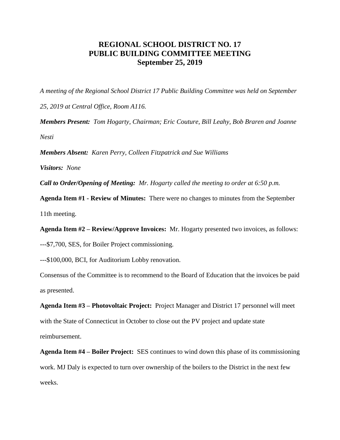## **REGIONAL SCHOOL DISTRICT NO. 17 PUBLIC BUILDING COMMITTEE MEETING September 25, 2019**

*A meeting of the Regional School District 17 Public Building Committee was held on September* 

*25, 2019 at Central Office, Room A116.*

*Members Present: Tom Hogarty, Chairman; Eric Couture, Bill Leahy, Bob Braren and Joanne Nesti*

*Members Absent: Karen Perry, Colleen Fitzpatrick and Sue Williams*

*Visitors: None*

*Call to Order/Opening of Meeting: Mr. Hogarty called the meeting to order at 6:50 p.m.* 

**Agenda Item #1 - Review of Minutes:** There were no changes to minutes from the September 11th meeting.

**Agenda Item #2 – Review/Approve Invoices:** Mr. Hogarty presented two invoices, as follows:

---\$7,700, SES, for Boiler Project commissioning.

---\$100,000, BCI, for Auditorium Lobby renovation.

Consensus of the Committee is to recommend to the Board of Education that the invoices be paid as presented.

**Agenda Item #3 – Photovoltaic Project:** Project Manager and District 17 personnel will meet with the State of Connecticut in October to close out the PV project and update state reimbursement.

**Agenda Item #4 – Boiler Project:** SES continues to wind down this phase of its commissioning work. MJ Daly is expected to turn over ownership of the boilers to the District in the next few weeks.